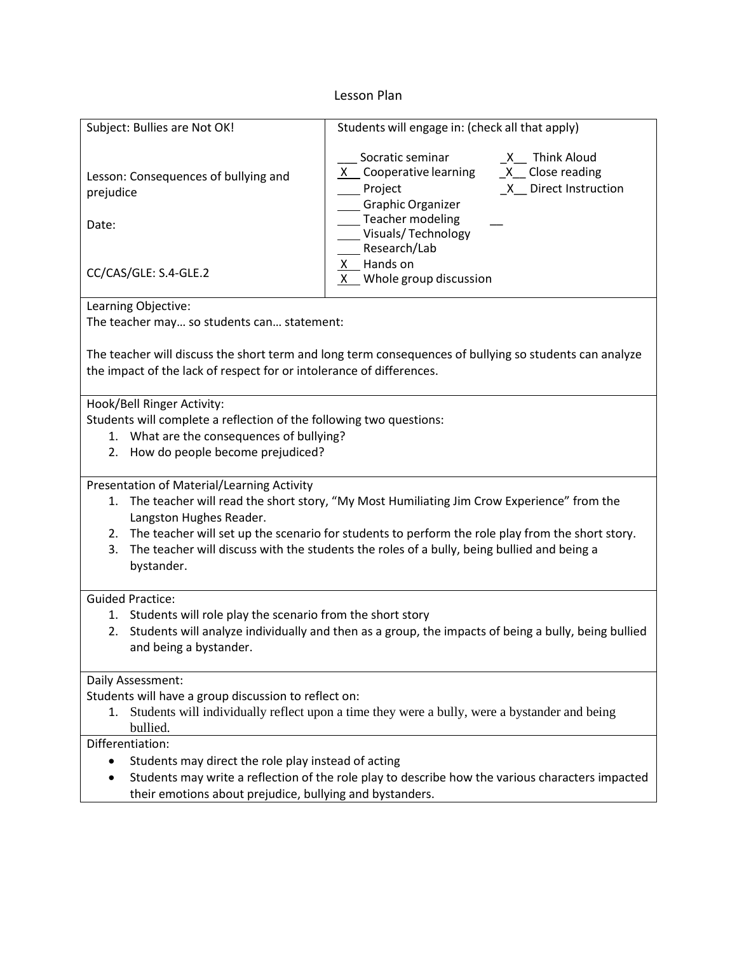## Lesson Plan

| Subject: Bullies are Not OK!                                                                                                                                              | Students will engage in: (check all that apply)                                                                                                                                                                             |
|---------------------------------------------------------------------------------------------------------------------------------------------------------------------------|-----------------------------------------------------------------------------------------------------------------------------------------------------------------------------------------------------------------------------|
| Lesson: Consequences of bullying and<br>prejudice<br>Date:                                                                                                                | Socratic seminar<br>X Think Aloud<br>X Cooperative learning<br>$X$ Close reading<br>X Direct Instruction<br>Project<br>Graphic Organizer<br><b>Teacher modeling</b><br>Visuals/Technology<br>Research/Lab<br>Hands on<br>X. |
| CC/CAS/GLE: S.4-GLE.2                                                                                                                                                     | $X$ Whole group discussion                                                                                                                                                                                                  |
| Learning Objective:                                                                                                                                                       |                                                                                                                                                                                                                             |
| The teacher may so students can statement:                                                                                                                                |                                                                                                                                                                                                                             |
| The teacher will discuss the short term and long term consequences of bullying so students can analyze                                                                    |                                                                                                                                                                                                                             |
| the impact of the lack of respect for or intolerance of differences.                                                                                                      |                                                                                                                                                                                                                             |
| Hook/Bell Ringer Activity:                                                                                                                                                |                                                                                                                                                                                                                             |
| Students will complete a reflection of the following two questions:                                                                                                       |                                                                                                                                                                                                                             |
| 1. What are the consequences of bullying?                                                                                                                                 |                                                                                                                                                                                                                             |
| How do people become prejudiced?<br>2.                                                                                                                                    |                                                                                                                                                                                                                             |
|                                                                                                                                                                           |                                                                                                                                                                                                                             |
| Presentation of Material/Learning Activity                                                                                                                                |                                                                                                                                                                                                                             |
| The teacher will read the short story, "My Most Humiliating Jim Crow Experience" from the<br>1.<br>Langston Hughes Reader.                                                |                                                                                                                                                                                                                             |
| 2. The teacher will set up the scenario for students to perform the role play from the short story.                                                                       |                                                                                                                                                                                                                             |
| The teacher will discuss with the students the roles of a bully, being bullied and being a<br>3.                                                                          |                                                                                                                                                                                                                             |
| bystander.                                                                                                                                                                |                                                                                                                                                                                                                             |
|                                                                                                                                                                           |                                                                                                                                                                                                                             |
| <b>Guided Practice:</b>                                                                                                                                                   |                                                                                                                                                                                                                             |
| 1. Students will role play the scenario from the short story<br>Students will analyze individually and then as a group, the impacts of being a bully, being bullied<br>2. |                                                                                                                                                                                                                             |
| and being a bystander.                                                                                                                                                    |                                                                                                                                                                                                                             |
|                                                                                                                                                                           |                                                                                                                                                                                                                             |
| Daily Assessment:                                                                                                                                                         |                                                                                                                                                                                                                             |
| Students will have a group discussion to reflect on:                                                                                                                      |                                                                                                                                                                                                                             |
| Students will individually reflect upon a time they were a bully, were a bystander and being<br>1.<br>bullied.                                                            |                                                                                                                                                                                                                             |
| Differentiation:                                                                                                                                                          |                                                                                                                                                                                                                             |
| Students may direct the role play instead of acting<br>$\bullet$                                                                                                          |                                                                                                                                                                                                                             |
| Students may write a reflection of the role play to describe how the various characters impacted                                                                          |                                                                                                                                                                                                                             |
| their emotions about prejudice, bullying and bystanders.                                                                                                                  |                                                                                                                                                                                                                             |